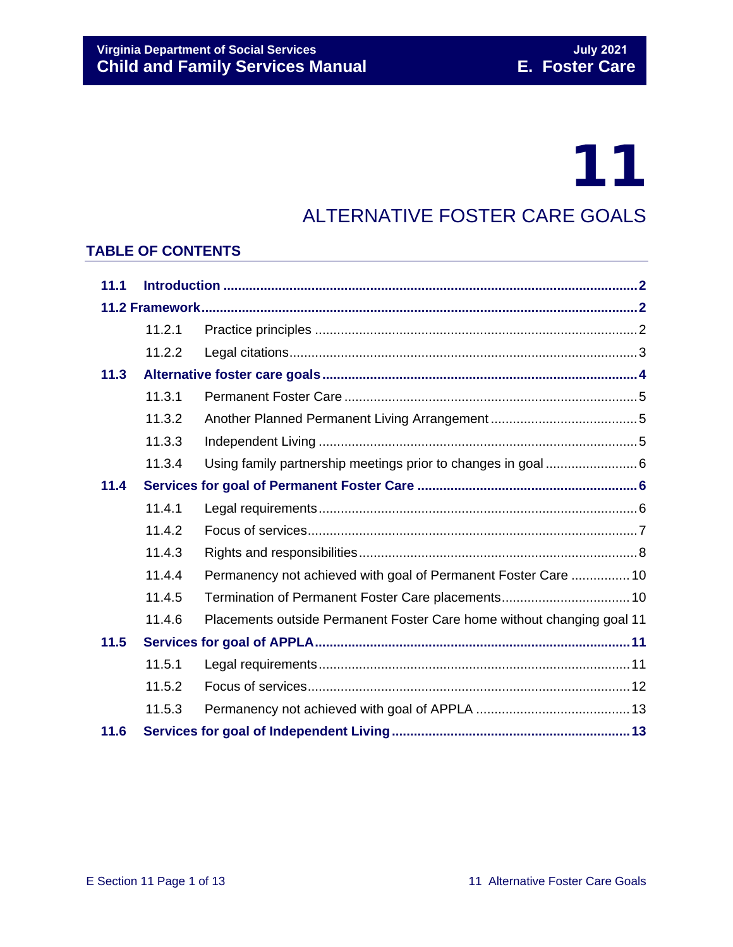# 11

### ALTERNATIVE FOSTER CARE GOALS

#### **TABLE OF CONTENTS**

| 11.1 |        |                                                                        |  |
|------|--------|------------------------------------------------------------------------|--|
|      |        |                                                                        |  |
|      | 11.2.1 |                                                                        |  |
|      | 11.2.2 |                                                                        |  |
| 11.3 |        |                                                                        |  |
|      | 11.3.1 |                                                                        |  |
|      | 11.3.2 |                                                                        |  |
|      | 11.3.3 |                                                                        |  |
|      | 11.3.4 |                                                                        |  |
| 11.4 |        |                                                                        |  |
|      | 11.4.1 |                                                                        |  |
|      | 11.4.2 |                                                                        |  |
|      | 11.4.3 |                                                                        |  |
|      | 11.4.4 | Permanency not achieved with goal of Permanent Foster Care  10         |  |
|      | 11.4.5 | Termination of Permanent Foster Care placements 10                     |  |
|      | 11.4.6 | Placements outside Permanent Foster Care home without changing goal 11 |  |
| 11.5 |        |                                                                        |  |
|      | 11.5.1 |                                                                        |  |
|      | 11.5.2 |                                                                        |  |
|      | 11.5.3 |                                                                        |  |
| 11.6 |        |                                                                        |  |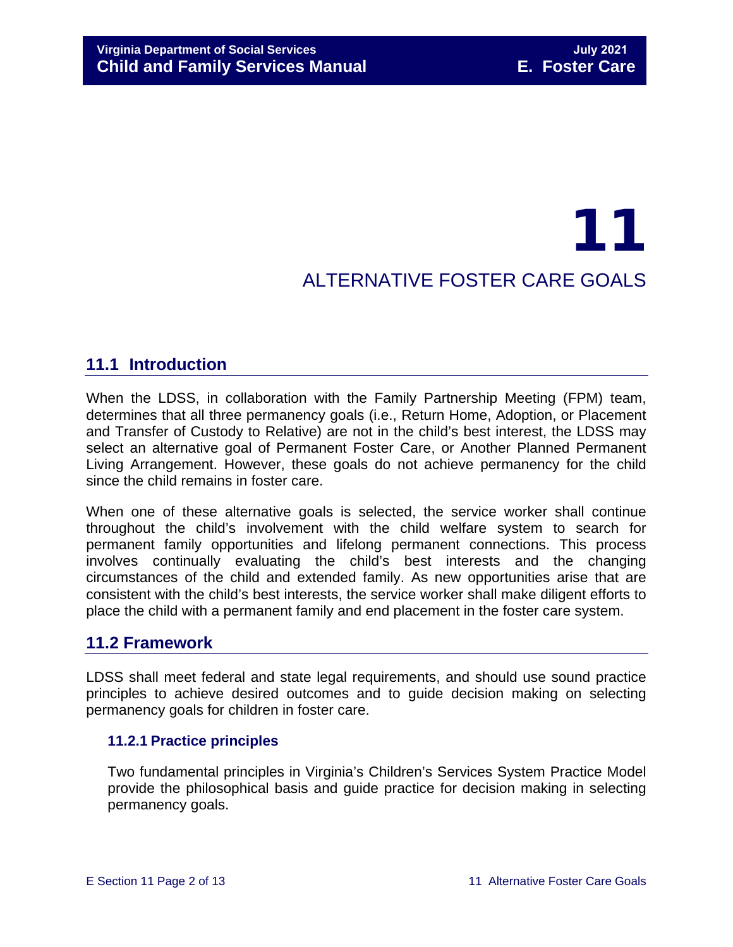## 11 ALTERNATIVE FOSTER CARE GOALS

#### <span id="page-1-0"></span>**11.1 Introduction**

When the LDSS, in collaboration with the Family Partnership Meeting (FPM) team, determines that all three permanency goals (i.e., Return Home, Adoption, or Placement and Transfer of Custody to Relative) are not in the child's best interest, the LDSS may select an alternative goal of Permanent Foster Care, or Another Planned Permanent Living Arrangement. However, these goals do not achieve permanency for the child since the child remains in foster care.

When one of these alternative goals is selected, the service worker shall continue throughout the child's involvement with the child welfare system to search for permanent family opportunities and lifelong permanent connections. This process involves continually evaluating the child's best interests and the changing circumstances of the child and extended family. As new opportunities arise that are consistent with the child's best interests, the service worker shall make diligent efforts to place the child with a permanent family and end placement in the foster care system.

#### <span id="page-1-1"></span>**11.2 Framework**

LDSS shall meet federal and state legal requirements, and should use sound practice principles to achieve desired outcomes and to guide decision making on selecting permanency goals for children in foster care.

#### <span id="page-1-2"></span>**11.2.1 Practice principles**

Two fundamental principles in Virginia's Children's Services System Practice Model provide the philosophical basis and guide practice for decision making in selecting permanency goals.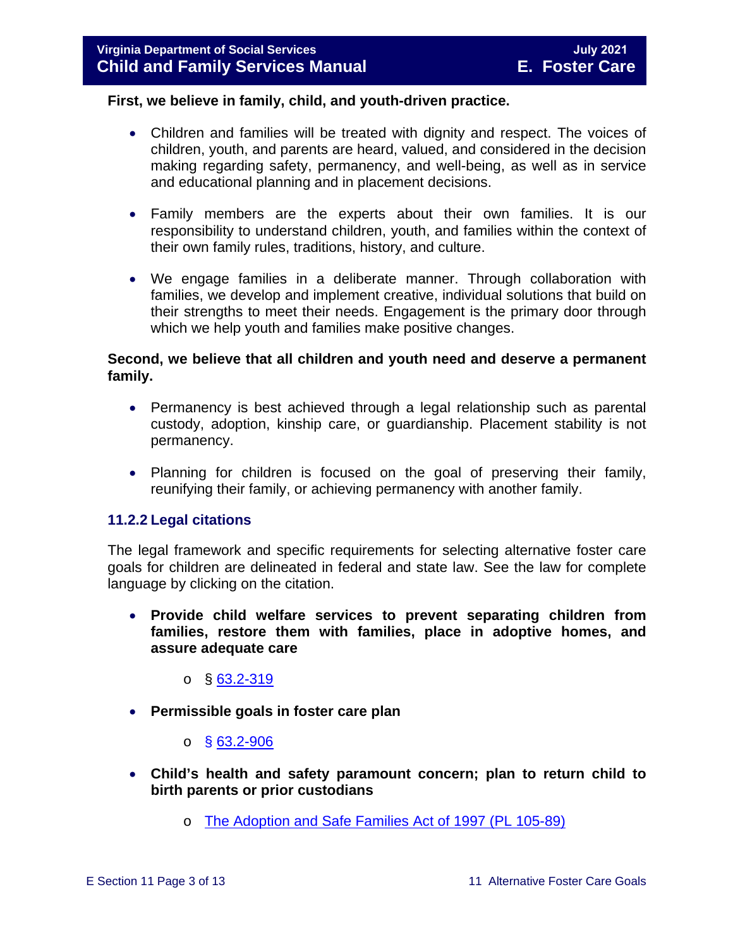#### **First, we believe in family, child, and youth-driven practice.**

- Children and families will be treated with dignity and respect. The voices of children, youth, and parents are heard, valued, and considered in the decision making regarding safety, permanency, and well-being, as well as in service and educational planning and in placement decisions.
- Family members are the experts about their own families. It is our responsibility to understand children, youth, and families within the context of their own family rules, traditions, history, and culture.
- We engage families in a deliberate manner. Through collaboration with families, we develop and implement creative, individual solutions that build on their strengths to meet their needs. Engagement is the primary door through which we help youth and families make positive changes.

#### **Second, we believe that all children and youth need and deserve a permanent family.**

- Permanency is best achieved through a legal relationship such as parental custody, adoption, kinship care, or guardianship. Placement stability is not permanency.
- Planning for children is focused on the goal of preserving their family, reunifying their family, or achieving permanency with another family.

#### <span id="page-2-0"></span>**11.2.2 Legal citations**

The legal framework and specific requirements for selecting alternative foster care goals for children are delineated in federal and state law. See the law for complete language by clicking on the citation.

• **Provide child welfare services to prevent separating children from families, restore them with families, place in adoptive homes, and assure adequate care**

 $\circ$  § [63.2-319](https://law.lis.virginia.gov/vacode/63.2-319/)

- **Permissible goals in foster care plan**
	- $\circ$  § [63.2-906](https://law.lis.virginia.gov/vacode/63.2-906/)
- **Child's health and safety paramount concern; plan to return child to birth parents or prior custodians**
	- o [The Adoption and Safe Families Act of 1997 \(PL 105-89\)](http://frwebgate.access.gpo.gov/cgi-bin/getdoc.cgi?dbname=105_cong_bills&docid=f:h867enr.txt.pdf)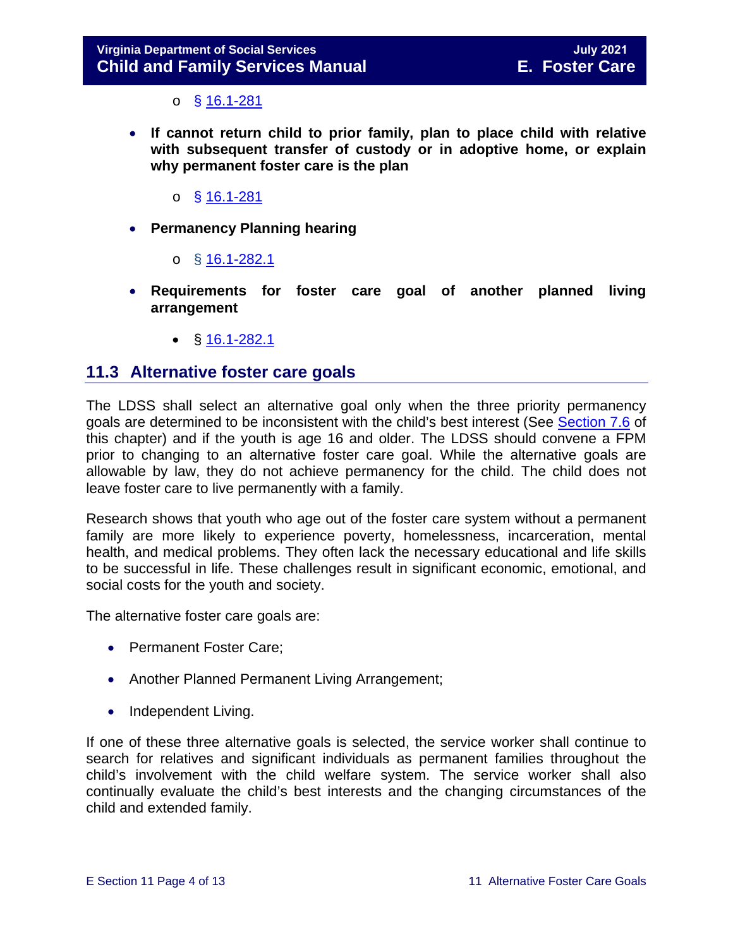$\circ$  § [16.1-281](https://law.lis.virginia.gov/vacode/16.1-281/)

- **If cannot return child to prior family, plan to place child with relative with subsequent transfer of custody or in adoptive home, or explain why permanent foster care is the plan**
	- o § [16.1-281](https://law.lis.virginia.gov/vacode/16.1-281/)
- **Permanency Planning hearing**
	- o  $§$  [16.1-282.1](https://law.lis.virginia.gov/vacode/16.1-282.1/)
- **Requirements for foster care goal of another planned living arrangement**
	- $$16.1-282.1$  $$16.1-282.1$

#### <span id="page-3-0"></span>**11.3 Alternative foster care goals**

The LDSS shall select an alternative goal only when the three priority permanency goals are determined to be inconsistent with the child's best interest (See [Section 7.6](https://fusion.dss.virginia.gov/Portals/%5bdfs%5d/Files/DFS%20Manuals/Foster%20Care%20Manuals/Foster%20Care%20Manual%2007-2020/Final%20Foster%20Care%20Manual%2007-2020/section_7_selecting_permanency_goals.pdf#page=12) of this chapter) and if the youth is age 16 and older. The LDSS should convene a FPM prior to changing to an alternative foster care goal. While the alternative goals are allowable by law, they do not achieve permanency for the child. The child does not leave foster care to live permanently with a family.

Research shows that youth who age out of the foster care system without a permanent family are more likely to experience poverty, homelessness, incarceration, mental health, and medical problems. They often lack the necessary educational and life skills to be successful in life. These challenges result in significant economic, emotional, and social costs for the youth and society.

The alternative foster care goals are:

- Permanent Foster Care;
- Another Planned Permanent Living Arrangement;
- Independent Living.

If one of these three alternative goals is selected, the service worker shall continue to search for relatives and significant individuals as permanent families throughout the child's involvement with the child welfare system. The service worker shall also continually evaluate the child's best interests and the changing circumstances of the child and extended family.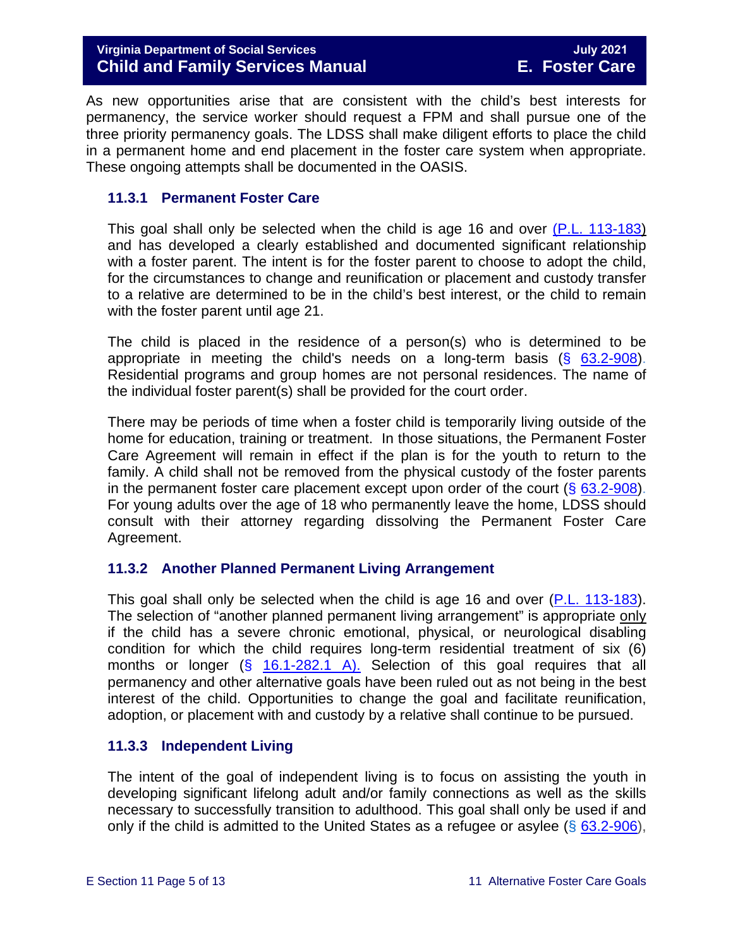As new opportunities arise that are consistent with the child's best interests for permanency, the service worker should request a FPM and shall pursue one of the three priority permanency goals. The LDSS shall make diligent efforts to place the child in a permanent home and end placement in the foster care system when appropriate. These ongoing attempts shall be documented in the OASIS.

#### <span id="page-4-0"></span>**11.3.1 Permanent Foster Care**

This goal shall only be selected when the child is age 16 and over [\(P.L. 113-183\)](https://www.congress.gov/113/plaws/publ183/PLAW-113publ183.pdf) and has developed a clearly established and documented significant relationship with a foster parent. The intent is for the foster parent to choose to adopt the child, for the circumstances to change and reunification or placement and custody transfer to a relative are determined to be in the child's best interest, or the child to remain with the foster parent until age 21.

The child is placed in the residence of a person(s) who is determined to be appropriate in meeting the child's needs on a long-term basis  $(8, 63.2-908)$  $(8, 63.2-908)$ . Residential programs and group homes are not personal residences. The name of the individual foster parent(s) shall be provided for the court order.

There may be periods of time when a foster child is temporarily living outside of the home for education, training or treatment. In those situations, the Permanent Foster Care Agreement will remain in effect if the plan is for the youth to return to the family. A child shall not be removed from the physical custody of the foster parents in the permanent foster care placement except upon order of the court  $(\S$  [63.2-908\)](https://law.lis.virginia.gov/vacode/63.2-908/). For young adults over the age of 18 who permanently leave the home, LDSS should consult with their attorney regarding dissolving the Permanent Foster Care Agreement.

#### <span id="page-4-1"></span>**11.3.2 Another Planned Permanent Living Arrangement**

This goal shall only be selected when the child is age 16 and over [\(P.L. 113-183\)](https://www.congress.gov/113/plaws/publ183/PLAW-113publ183.pdf). The selection of "another planned permanent living arrangement" is appropriate only if the child has a severe chronic emotional, physical, or neurological disabling condition for which the child requires long-term residential treatment of six (6) months or longer  $(\S$  [16.1-282.1 A\).](https://law.lis.virginia.gov/vacode/16.1-282.1/) Selection of this goal requires that all permanency and other alternative goals have been ruled out as not being in the best interest of the child. Opportunities to change the goal and facilitate reunification, adoption, or placement with and custody by a relative shall continue to be pursued.

#### <span id="page-4-2"></span>**11.3.3 Independent Living**

The intent of the goal of independent living is to focus on assisting the youth in developing significant lifelong adult and/or family connections as well as the skills necessary to successfully transition to adulthood. This goal shall only be used if and only if the child is admitted to the United States as a refugee or asylee ( $\S$  [63.2-906\)](https://law.lis.virginia.gov/vacode/title63.2/chapter9/section63.2-906/),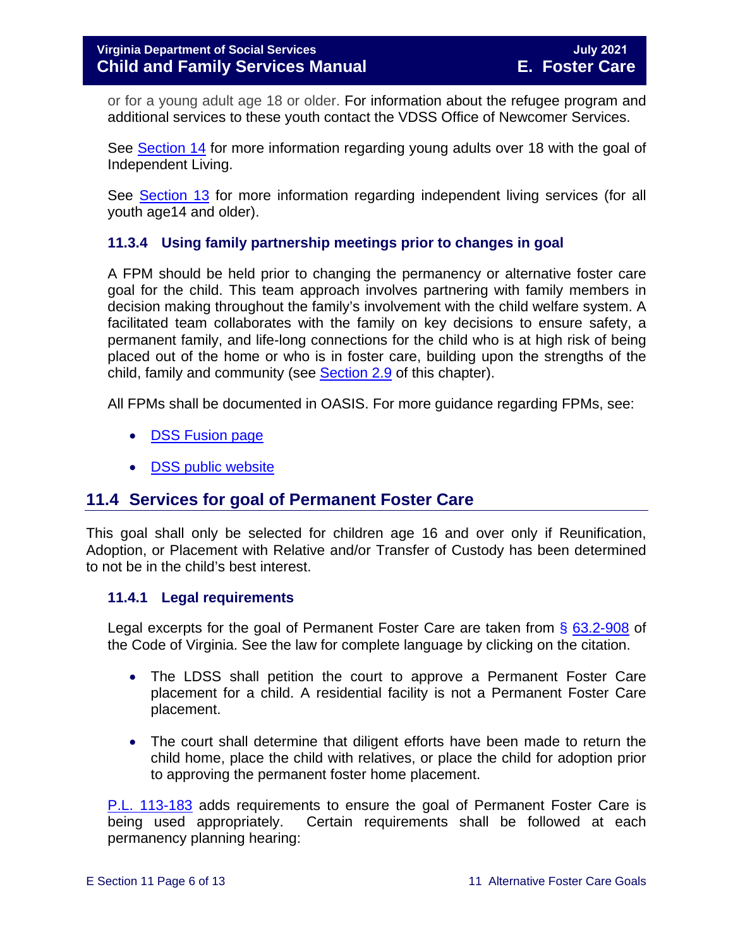or for a young adult age 18 or older. For information about the refugee program and additional services to these youth contact the VDSS Office of Newcomer Services.

See [Section 14](https://fusion.dss.virginia.gov/Portals/%5bdfs%5d/Files/DFS%20Manuals/Foster%20Care%20Manuals/Foster%20Care%20Manual%2007-2020/Final%20Foster%20Care%20Manual%2007-2020/Section_14_Fostering_Futures.pdf) for more information regarding young adults over 18 with the goal of Independent Living.

See **Section 13** for more information regarding independent living services (for all youth age14 and older).

#### <span id="page-5-0"></span>**11.3.4 Using family partnership meetings prior to changes in goal**

A FPM should be held prior to changing the permanency or alternative foster care goal for the child. This team approach involves partnering with family members in decision making throughout the family's involvement with the child welfare system. A facilitated team collaborates with the family on key decisions to ensure safety, a permanent family, and life-long connections for the child who is at high risk of being placed out of the home or who is in foster care, building upon the strengths of the child, family and community (see [Section 2.9](https://fusion.dss.virginia.gov/Portals/%5bdfs%5d/Files/DFS%20Manuals/Foster%20Care%20Manuals/Foster%20Care%20Manual%2007-2020/Final%20Foster%20Care%20Manual%2007-2020/section_2_engaging_the_child_family_and_significant_adults.pdf#page=19) of this chapter).

All FPMs shall be documented in OASIS. For more guidance regarding FPMs, see:

- **[DSS Fusion](https://fusion.dss.virginia.gov/dfs/DFS-Home/Family-Engagement) page**
- [DSS public website](http://www.dss.virginia.gov/family/fe.cgi)

#### <span id="page-5-1"></span>**11.4 Services for goal of Permanent Foster Care**

This goal shall only be selected for children age 16 and over only if Reunification, Adoption, or Placement with Relative and/or Transfer of Custody has been determined to not be in the child's best interest.

#### <span id="page-5-2"></span>**11.4.1 Legal requirements**

Legal excerpts for the goal of Permanent Foster Care are taken from § [63.2-908](https://law.lis.virginia.gov/vacode/63.2-908/) of the Code of Virginia. See the law for complete language by clicking on the citation.

- The LDSS shall petition the court to approve a Permanent Foster Care placement for a child. A residential facility is not a Permanent Foster Care placement.
- The court shall determine that diligent efforts have been made to return the child home, place the child with relatives, or place the child for adoption prior to approving the permanent foster home placement.

[P.L. 113-183](https://www.congress.gov/113/plaws/publ183/PLAW-113publ183.pdf) adds requirements to ensure the goal of Permanent Foster Care is being used appropriately. Certain requirements shall be followed at each permanency planning hearing: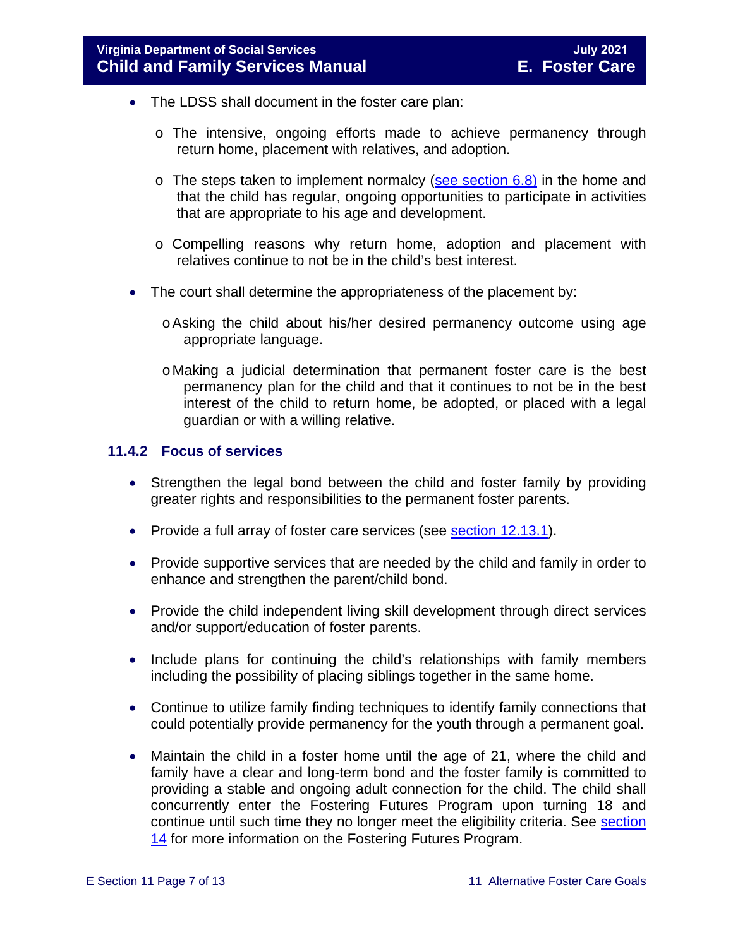- The LDSS shall document in the foster care plan:
	- o The intensive, ongoing efforts made to achieve permanency through return home, placement with relatives, and adoption.
	- $\circ$  The steps taken to implement normalcy [\(see section 6.8\)](https://fusion.dss.virginia.gov/Portals/%5bdfs%5d/Files/DFS%20Manuals/Foster%20Care%20Manuals/Foster%20Care%20Manual%2007-2020/Final%20Foster%20Care%20Manual%2007-2020/section_6_placement_to_achieve_permanency.pdf#page=26) in the home and that the child has regular, ongoing opportunities to participate in activities that are appropriate to his age and development.
	- o Compelling reasons why return home, adoption and placement with relatives continue to not be in the child's best interest.
- The court shall determine the appropriateness of the placement by:
	- oAsking the child about his/her desired permanency outcome using age appropriate language.
	- oMaking a judicial determination that permanent foster care is the best permanency plan for the child and that it continues to not be in the best interest of the child to return home, be adopted, or placed with a legal guardian or with a willing relative.

#### <span id="page-6-0"></span>**11.4.2 Focus of services**

- Strengthen the legal bond between the child and foster family by providing greater rights and responsibilities to the permanent foster parents.
- Provide a full array of foster care services (see **section 12.13.1**).
- Provide supportive services that are needed by the child and family in order to enhance and strengthen the parent/child bond.
- Provide the child independent living skill development through direct services and/or support/education of foster parents.
- Include plans for continuing the child's relationships with family members including the possibility of placing siblings together in the same home.
- Continue to utilize family finding techniques to identify family connections that could potentially provide permanency for the youth through a permanent goal.
- Maintain the child in a foster home until the age of 21, where the child and family have a clear and long-term bond and the foster family is committed to providing a stable and ongoing adult connection for the child. The child shall concurrently enter the Fostering Futures Program upon turning 18 and continue until such time they no longer meet the eligibility criteria. See [section](https://fusion.dss.virginia.gov/Portals/%5bdfs%5d/Files/DFS%20Manuals/Foster%20Care%20Manuals/Foster%20Care%20Manual%2007-2020/Final%20Foster%20Care%20Manual%2007-2020/Section_14_Fostering_Futures.pdf) [14](https://fusion.dss.virginia.gov/Portals/%5bdfs%5d/Files/DFS%20Manuals/Foster%20Care%20Manuals/Foster%20Care%20Manual%2007-2020/Final%20Foster%20Care%20Manual%2007-2020/Section_14_Fostering_Futures.pdf) for more information on the Fostering Futures Program.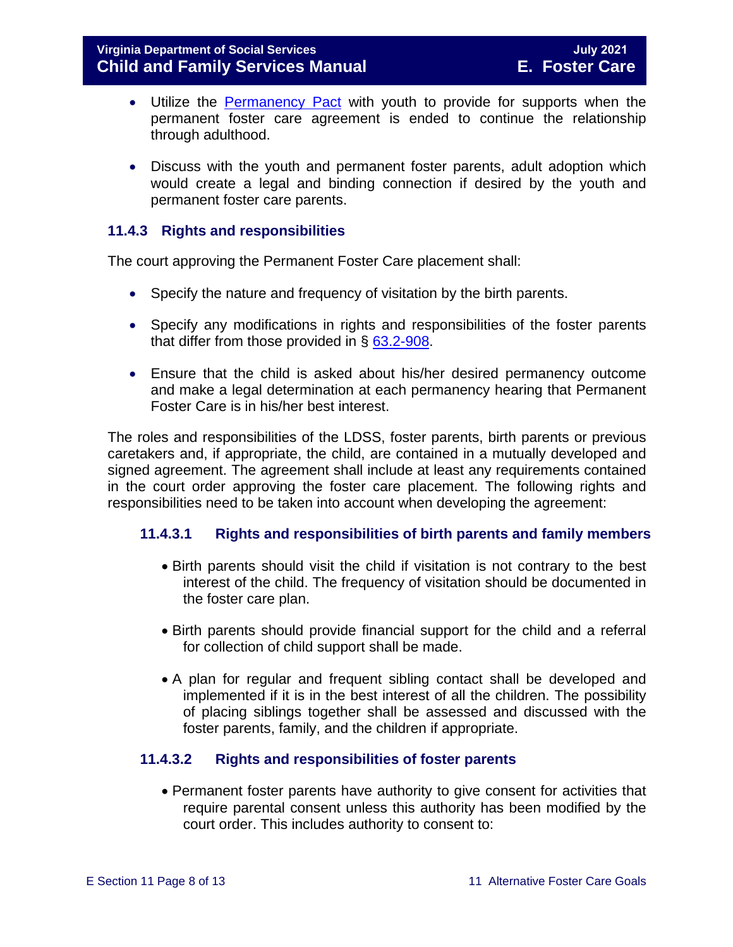- Utilize the [Permanency Pact](http://www.fosterclub.com/_transition/article/permanency-pact) with youth to provide for supports when the permanent foster care agreement is ended to continue the relationship through adulthood.
- Discuss with the youth and permanent foster parents, adult adoption which would create a legal and binding connection if desired by the youth and permanent foster care parents.

#### <span id="page-7-0"></span>**11.4.3 Rights and responsibilities**

The court approving the Permanent Foster Care placement shall:

- Specify the nature and frequency of visitation by the birth parents.
- Specify any modifications in rights and responsibilities of the foster parents that differ from those provided in § [63.2-908.](https://law.lis.virginia.gov/vacode/63.2-908/)
- Ensure that the child is asked about his/her desired permanency outcome and make a legal determination at each permanency hearing that Permanent Foster Care is in his/her best interest.

The roles and responsibilities of the LDSS, foster parents, birth parents or previous caretakers and, if appropriate, the child, are contained in a mutually developed and signed agreement. The agreement shall include at least any requirements contained in the court order approving the foster care placement. The following rights and responsibilities need to be taken into account when developing the agreement:

#### **11.4.3.1 Rights and responsibilities of birth parents and family members**

- Birth parents should visit the child if visitation is not contrary to the best interest of the child. The frequency of visitation should be documented in the foster care plan.
- Birth parents should provide financial support for the child and a referral for collection of child support shall be made.
- A plan for regular and frequent sibling contact shall be developed and implemented if it is in the best interest of all the children. The possibility of placing siblings together shall be assessed and discussed with the foster parents, family, and the children if appropriate.

#### **11.4.3.2 Rights and responsibilities of foster parents**

• Permanent foster parents have authority to give consent for activities that require parental consent unless this authority has been modified by the court order. This includes authority to consent to: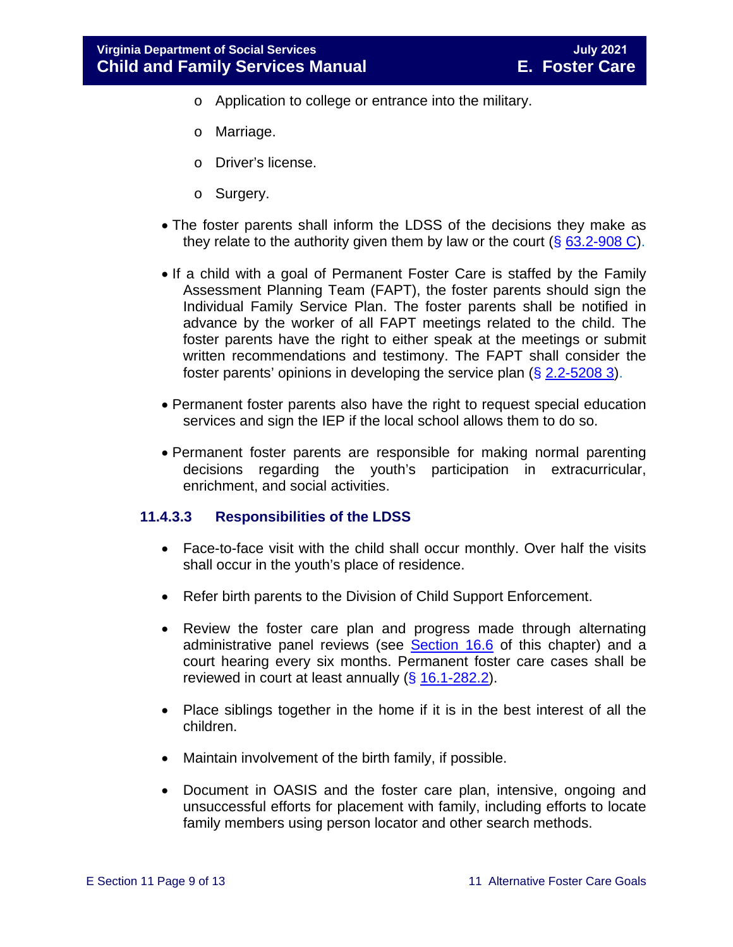- o Application to college or entrance into the military.
- o Marriage.
- o Driver's license.
- o Surgery.
- The foster parents shall inform the LDSS of the decisions they make as they relate to the authority given them by law or the court  $(\S 63.2\text{-}908 \text{ C})$ .
- If a child with a goal of Permanent Foster Care is staffed by the Family Assessment Planning Team (FAPT), the foster parents should sign the Individual Family Service Plan. The foster parents shall be notified in advance by the worker of all FAPT meetings related to the child. The foster parents have the right to either speak at the meetings or submit written recommendations and testimony. The FAPT shall consider the foster parents' opinions in developing the service plan  $(\S 2.2 - 5208 3)$ .
- Permanent foster parents also have the right to request special education services and sign the IEP if the local school allows them to do so.
- Permanent foster parents are responsible for making normal parenting decisions regarding the youth's participation in extracurricular, enrichment, and social activities.

#### **11.4.3.3 Responsibilities of the LDSS**

- Face-to-face visit with the child shall occur monthly. Over half the visits shall occur in the youth's place of residence.
- Refer birth parents to the Division of Child Support Enforcement.
- Review the foster care plan and progress made through alternating administrative panel reviews (see [Section 16.6](https://fusion.dss.virginia.gov/Portals/%5bdfs%5d/Files/DFS%20Manuals/Foster%20Care%20Manuals/Foster%20Care%20Manual%2007-2020/Final%20Foster%20Care%20Manual%2007-2020/section_16_judicial_hearings_and_mandated_foster_care_reviews.pdf#page=20) of this chapter) and a court hearing every six months. Permanent foster care cases shall be reviewed in court at least annually  $(§ 16.1-282.2)$  $(§ 16.1-282.2)$ .
- Place siblings together in the home if it is in the best interest of all the children.
- Maintain involvement of the birth family, if possible.
- Document in OASIS and the foster care plan, intensive, ongoing and unsuccessful efforts for placement with family, including efforts to locate family members using person locator and other search methods.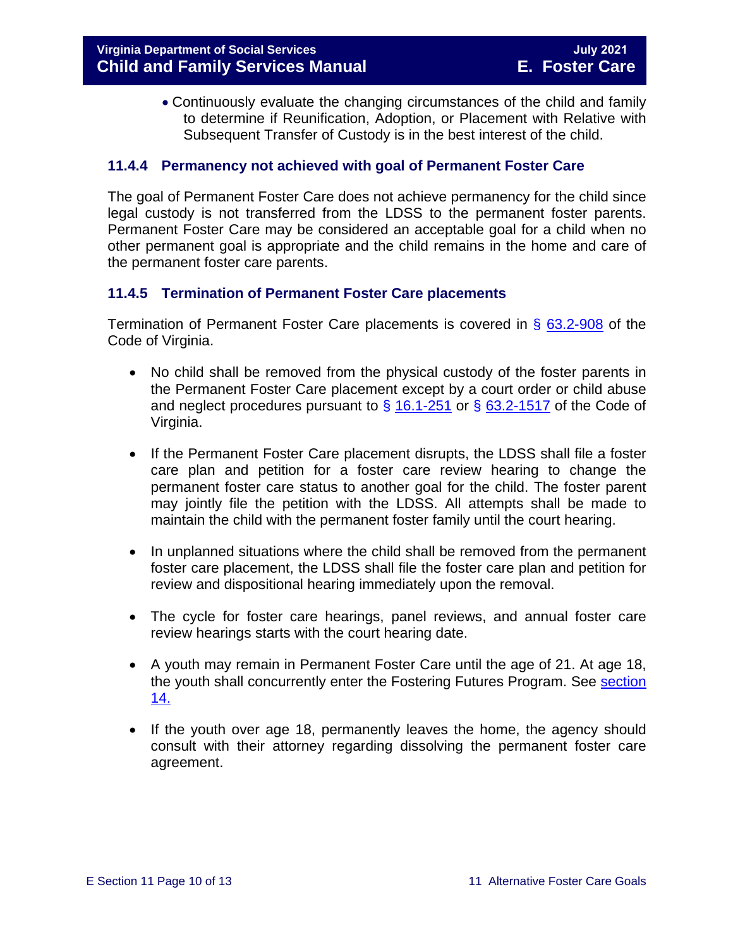• Continuously evaluate the changing circumstances of the child and family to determine if Reunification, Adoption, or Placement with Relative with Subsequent Transfer of Custody is in the best interest of the child.

#### <span id="page-9-0"></span>**11.4.4 Permanency not achieved with goal of Permanent Foster Care**

The goal of Permanent Foster Care does not achieve permanency for the child since legal custody is not transferred from the LDSS to the permanent foster parents. Permanent Foster Care may be considered an acceptable goal for a child when no other permanent goal is appropriate and the child remains in the home and care of the permanent foster care parents.

#### <span id="page-9-1"></span>**11.4.5 Termination of Permanent Foster Care placements**

Termination of Permanent Foster Care placements is covered in § [63.2-908](https://law.lis.virginia.gov/vacode/63.2-908/) of the Code of Virginia.

- No child shall be removed from the physical custody of the foster parents in the Permanent Foster Care placement except by a court order or child abuse and neglect procedures pursuant to  $\S$  [16.1-251](https://law.lis.virginia.gov/vacode/16.1-251/) or  $\S$  [63.2-1517](https://law.lis.virginia.gov/vacode/63.2-1517/) of the Code of Virginia.
- If the Permanent Foster Care placement disrupts, the LDSS shall file a foster care plan and petition for a foster care review hearing to change the permanent foster care status to another goal for the child. The foster parent may jointly file the petition with the LDSS. All attempts shall be made to maintain the child with the permanent foster family until the court hearing.
- In unplanned situations where the child shall be removed from the permanent foster care placement, the LDSS shall file the foster care plan and petition for review and dispositional hearing immediately upon the removal.
- The cycle for foster care hearings, panel reviews, and annual foster care review hearings starts with the court hearing date.
- A youth may remain in Permanent Foster Care until the age of 21. At age 18, the youth shall concurrently enter the Fostering Futures Program. See [section](https://fusion.dss.virginia.gov/Portals/%5bdfs%5d/Files/DFS%20Manuals/Foster%20Care%20Manuals/Foster%20Care%20Manual%2007-2020/Final%20Foster%20Care%20Manual%2007-2020/Section_14_Fostering_Futures.pdf) <u>[14.](https://fusion.dss.virginia.gov/Portals/%5bdfs%5d/Files/DFS%20Manuals/Foster%20Care%20Manuals/Foster%20Care%20Manual%2007-2020/Final%20Foster%20Care%20Manual%2007-2020/Section_14_Fostering_Futures.pdf)</u>
- If the youth over age 18, permanently leaves the home, the agency should consult with their attorney regarding dissolving the permanent foster care agreement.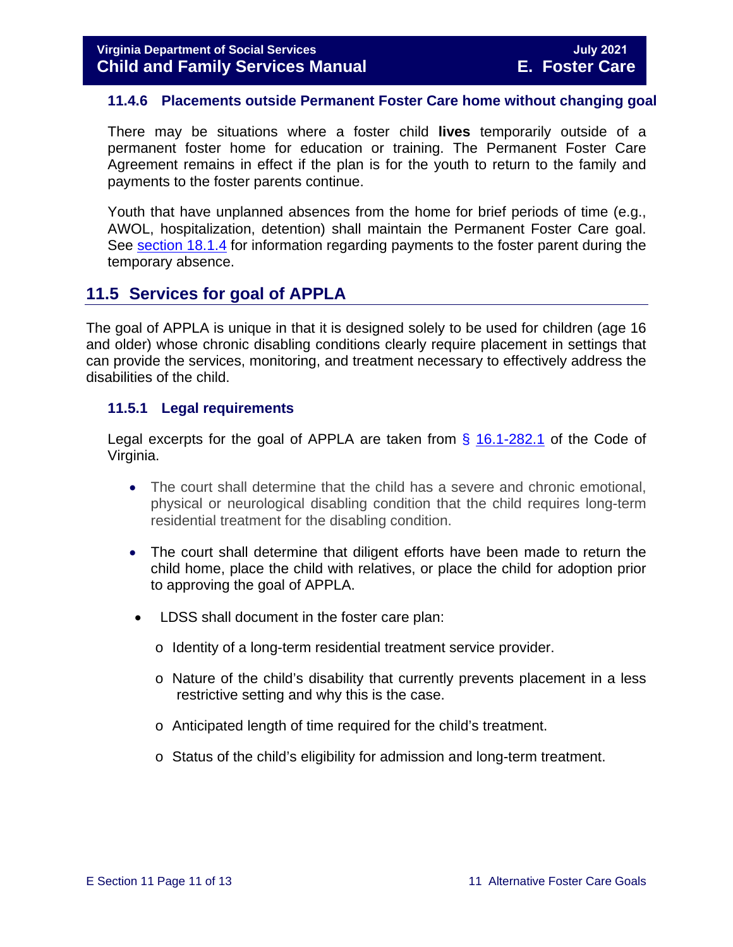#### <span id="page-10-0"></span>**11.4.6 Placements outside Permanent Foster Care home without changing goal**

There may be situations where a foster child **lives** temporarily outside of a permanent foster home for education or training. The Permanent Foster Care Agreement remains in effect if the plan is for the youth to return to the family and payments to the foster parents continue.

Youth that have unplanned absences from the home for brief periods of time (e.g., AWOL, hospitalization, detention) shall maintain the Permanent Foster Care goal. See [section 18.1.4](https://fusion.dss.virginia.gov/Portals/%5bdfs%5d/Files/DFS%20Manuals/Foster%20Care%20Manuals/Foster%20Care%20Manual%2007-2020/Final%20Foster%20Care%20Manual%2007-2020/section_18_funding_maintenance_costs.pdf#page=4) for information regarding payments to the foster parent during the temporary absence.

#### <span id="page-10-1"></span>**11.5 Services for goal of APPLA**

The goal of APPLA is unique in that it is designed solely to be used for children (age 16 and older) whose chronic disabling conditions clearly require placement in settings that can provide the services, monitoring, and treatment necessary to effectively address the disabilities of the child.

#### <span id="page-10-2"></span>**11.5.1 Legal requirements**

Legal excerpts for the goal of APPLA are taken from  $\S$  [16.1-282.1](https://law.lis.virginia.gov/vacode/16.1-282.1/) of the Code of Virginia.

- The court shall determine that the child has a severe and chronic emotional, physical or neurological disabling condition that the child requires long-term residential treatment for the disabling condition.
- The court shall determine that diligent efforts have been made to return the child home, place the child with relatives, or place the child for adoption prior to approving the goal of APPLA.
- LDSS shall document in the foster care plan:
	- o Identity of a long-term residential treatment service provider.
	- o Nature of the child's disability that currently prevents placement in a less restrictive setting and why this is the case.
	- o Anticipated length of time required for the child's treatment.
	- o Status of the child's eligibility for admission and long-term treatment.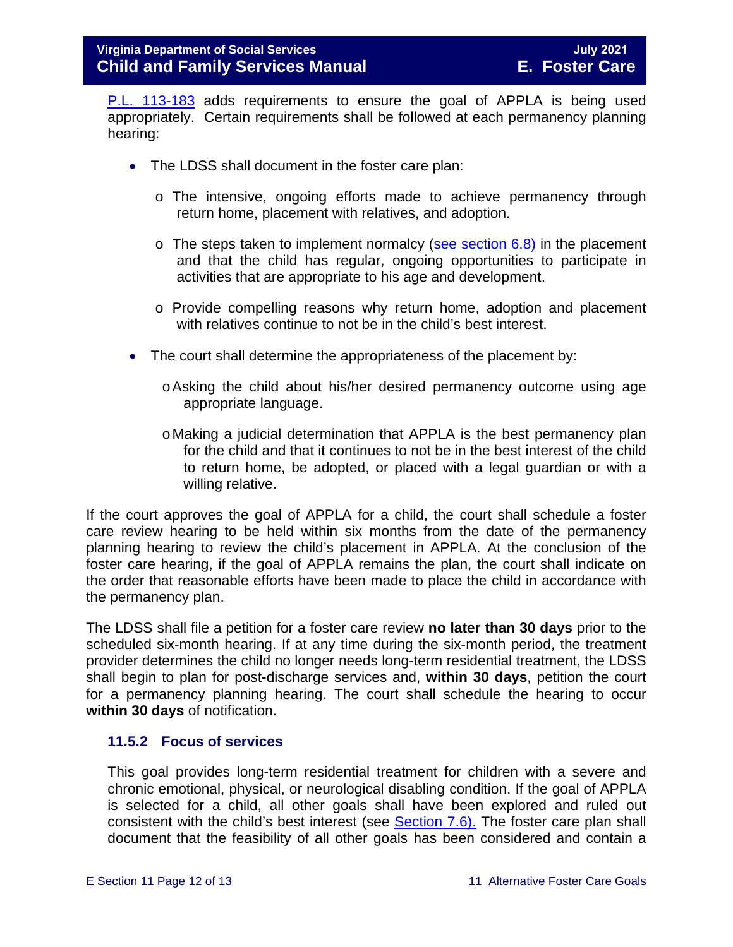[P.L. 113-183](https://www.congress.gov/113/plaws/publ183/PLAW-113publ183.pdf) adds requirements to ensure the goal of APPLA is being used appropriately. Certain requirements shall be followed at each permanency planning hearing:

- The LDSS shall document in the foster care plan:
	- o The intensive, ongoing efforts made to achieve permanency through return home, placement with relatives, and adoption.
	- $\circ$  The steps taken to implement normalcy [\(see section 6.8\)](https://fusion.dss.virginia.gov/Portals/%5bdfs%5d/Files/DFS%20Manuals/Foster%20Care%20Manuals/Foster%20Care%20Manual%2007-2020/Final%20Foster%20Care%20Manual%2007-2020/section_6_placement_to_achieve_permanency.pdf#page=26) in the placement and that the child has regular, ongoing opportunities to participate in activities that are appropriate to his age and development.
	- o Provide compelling reasons why return home, adoption and placement with relatives continue to not be in the child's best interest.
- The court shall determine the appropriateness of the placement by:
	- oAsking the child about his/her desired permanency outcome using age appropriate language.
	- oMaking a judicial determination that APPLA is the best permanency plan for the child and that it continues to not be in the best interest of the child to return home, be adopted, or placed with a legal guardian or with a willing relative.

If the court approves the goal of APPLA for a child, the court shall schedule a foster care review hearing to be held within six months from the date of the permanency planning hearing to review the child's placement in APPLA. At the conclusion of the foster care hearing, if the goal of APPLA remains the plan, the court shall indicate on the order that reasonable efforts have been made to place the child in accordance with the permanency plan.

The LDSS shall file a petition for a foster care review **no later than 30 days** prior to the scheduled six-month hearing. If at any time during the six-month period, the treatment provider determines the child no longer needs long-term residential treatment, the LDSS shall begin to plan for post-discharge services and, **within 30 days**, petition the court for a permanency planning hearing. The court shall schedule the hearing to occur **within 30 days** of notification.

#### <span id="page-11-0"></span>**11.5.2 Focus of services**

This goal provides long-term residential treatment for children with a severe and chronic emotional, physical, or neurological disabling condition. If the goal of APPLA is selected for a child, all other goals shall have been explored and ruled out consistent with the child's best interest (see **Section 7.6)**. The foster care plan shall document that the feasibility of all other goals has been considered and contain a